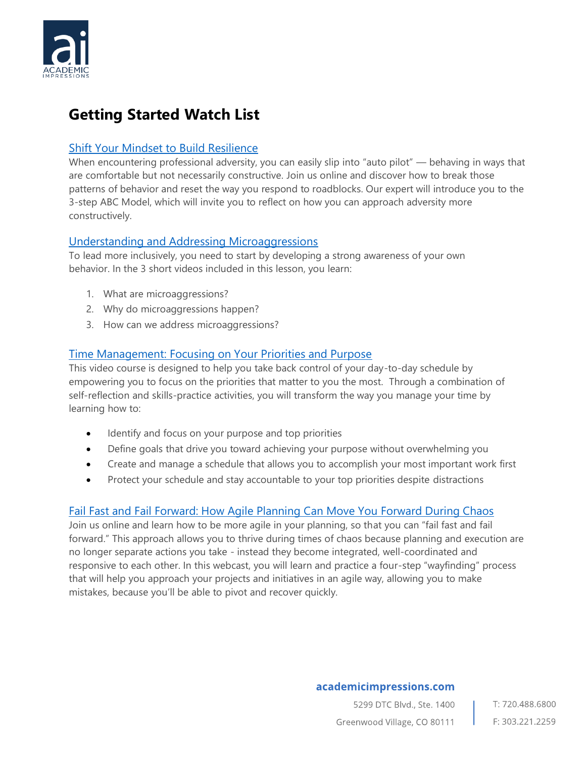

# **Getting Started Watch List**

## [Shift Your Mindset to Build Resilience](https://www.academicimpressions.com/product/0320-prof-resilience/)

When encountering professional adversity, you can easily slip into "auto pilot" — behaving in ways that are comfortable but not necessarily constructive. Join us online and discover how to break those patterns of behavior and reset the way you respond to roadblocks. Our expert will introduce you to the 3-step ABC Model, which will invite you to reflect on how you can approach adversity more constructively.

### [Understanding and Addressing Microaggressions](https://www.academicimpressions.com/product/slq-microinequities/)

To lead more inclusively, you need to start by developing a strong awareness of your own behavior. In the 3 short videos included in this lesson, you learn:

- 1. What are microaggressions?
- 2. Why do microaggressions happen?
- 3. How can we address microaggressions?

## [Time Management: Focusing on Your Priorities and Purpose](https://www.academicimpressions.com/time-management-focusing-on-your-priorities-and-purpose/)

This video course is designed to help you take back control of your day-to-day schedule by empowering you to focus on the priorities that matter to you the most. Through a combination of self-reflection and skills-practice activities, you will transform the way you manage your time by learning how to:

- Identify and focus on your purpose and top priorities
- Define goals that drive you toward achieving your purpose without overwhelming you
- Create and manage a schedule that allows you to accomplish your most important work first
- Protect your schedule and stay accountable to your top priorities despite distractions

#### [Fail Fast and Fail Forward: How Agile Planning Can Move You Forward During Chaos](https://www.academicimpressions.com/product/0620-fail-fast/)

Join us online and learn how to be more agile in your planning, so that you can "fail fast and fail forward." This approach allows you to thrive during times of chaos because planning and execution are no longer separate actions you take - instead they become integrated, well-coordinated and responsive to each other. In this webcast, you will learn and practice a four-step "wayfinding" process that will help you approach your projects and initiatives in an agile way, allowing you to make mistakes, because you'll be able to pivot and recover quickly.

#### academicimpressions.com

5299 DTC Blvd., Ste. 1400 T: 720.488.6800 Greenwood Village, CO 80111 F: 303.221.2259